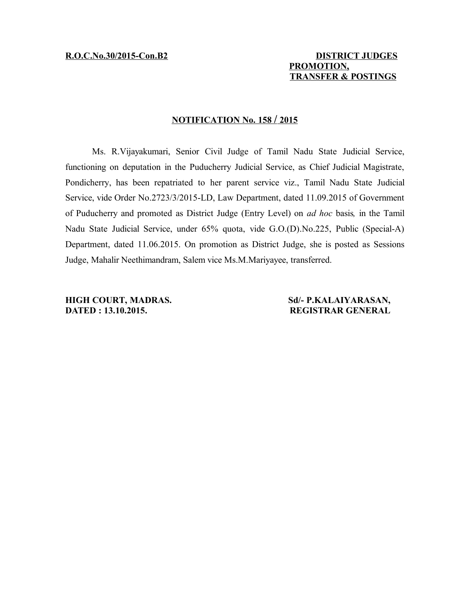## **R.O.C.No.30/2015-Con.B2 DISTRICT JUDGES PROMOTION, TRANSFER & POSTINGS**

## **NOTIFICATION No. 158 / 2015**

Ms. R.Vijayakumari, Senior Civil Judge of Tamil Nadu State Judicial Service, functioning on deputation in the Puducherry Judicial Service, as Chief Judicial Magistrate, Pondicherry, has been repatriated to her parent service viz., Tamil Nadu State Judicial Service, vide Order No.2723/3/2015-LD, Law Department, dated 11.09.2015 of Government of Puducherry and promoted as District Judge (Entry Level) on *ad hoc* basis*,* in the Tamil Nadu State Judicial Service, under 65% quota, vide G.O.(D).No.225, Public (Special-A) Department, dated 11.06.2015. On promotion as District Judge, she is posted as Sessions Judge, Mahalir Neethimandram, Salem vice Ms.M.Mariyayee, transferred.

**DATED : 13.10.2015. REGISTRAR GENERAL**

**HIGH COURT, MADRAS. Sd/- P.KALAIYARASAN,**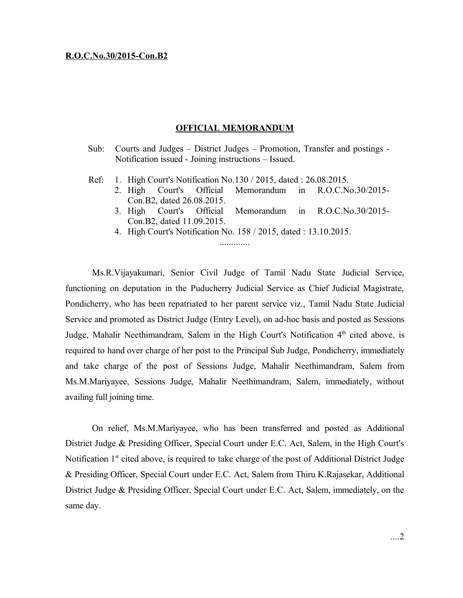## **OFFICIAL MEMORANDUM**

- Sub: Courts and Judges District Judges Promotion, Transfer and postings Notification issued - Joining instructions – Issued.
- Ref: 1. High Court's Notification No.130 / 2015, dated : 26.08.2015.
	- 2. High Court's Official Memorandum in R.O.C.No.30/2015- Con.B2, dated 26.08.2015.
	- 3. High Court's Official Memorandum in R.O.C.No.30/2015- Con.B2, dated 11.09.2015.
	- 4. High Court's Notification No. 158 / 2015, dated : 13.10.2015. .............

Ms.R.Vijayakumari, Senior Civil Judge of Tamil Nadu State Judicial Service, functioning on deputation in the Puducherry Judicial Service as Chief Judicial Magistrate, Pondicherry, who has been repatriated to her parent service viz., Tamil Nadu State Judicial Service and promoted as District Judge (Entry Level), on ad-hoc basis and posted as Sessions Judge, Mahalir Neethimandram, Salem in the High Court's Notification 4<sup>th</sup> cited above, is required to hand over charge of her post to the Principal Sub Judge, Pondicherry, immediately and take charge of the post of Sessions Judge, Mahalir Neethimandram, Salem from Ms.M.Mariyayee, Sessions Judge, Mahalir Neethimandram, Salem, immediately, without availing full joining time.

On relief, Ms.M.Mariyayee, who has been transferred and posted as Additional District Judge & Presiding Officer, Special Court under E.C. Act, Salem, in the High Court's Notification 1<sup>st</sup> cited above, is required to take charge of the post of Additional District Judge & Presiding Officer, Special Court under E.C. Act, Salem from Thiru K.Rajasekar, Additional District Judge & Presiding Officer, Special Court under E.C. Act, Salem, immediately, on the same day.